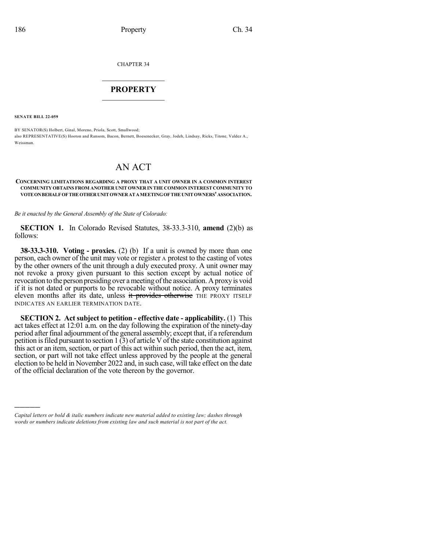CHAPTER 34

## $\mathcal{L}_\text{max}$  . The set of the set of the set of the set of the set of the set of the set of the set of the set of the set of the set of the set of the set of the set of the set of the set of the set of the set of the set **PROPERTY**  $\_$   $\_$   $\_$   $\_$   $\_$   $\_$   $\_$   $\_$   $\_$

**SENATE BILL 22-059**

)))))

BY SENATOR(S) Holbert, Ginal, Moreno, Priola, Scott, Smallwood; also REPRESENTATIVE(S) Hooton and Ransom, Bacon, Bernett, Boesenecker, Gray, Jodeh, Lindsay, Ricks, Titone, Valdez A., Weissman

## AN ACT

## **CONCERNING LIMITATIONS REGARDING A PROXY THAT A UNIT OWNER IN A COMMON INTEREST COMMUNITY OBTAINS FROM ANOTHER UNIT OWNER IN THE COMMON INTEREST COMMUNITY TO VOTEONBEHALFOFTHEOTHERUNITOWNERATAMEETINGOFTHEUNITOWNERS'ASSOCIATION.**

*Be it enacted by the General Assembly of the State of Colorado:*

**SECTION 1.** In Colorado Revised Statutes, 38-33.3-310, **amend** (2)(b) as follows:

**38-33.3-310. Voting - proxies.** (2) (b) If a unit is owned by more than one person, each owner of the unit may vote or register A protest to the casting of votes by the other owners of the unit through a duly executed proxy. A unit owner may not revoke a proxy given pursuant to this section except by actual notice of revocation to the person presiding over a meeting of the association. A proxy is void if it is not dated or purports to be revocable without notice. A proxy terminates eleven months after its date, unless it provides otherwise THE PROXY ITSELF INDICATES AN EARLIER TERMINATION DATE.

**SECTION 2. Act subject to petition - effective date - applicability.** (1) This act takes effect at 12:01 a.m. on the day following the expiration of the ninety-day period after final adjournment of the general assembly; except that, if a referendum petition is filed pursuant to section  $1(3)$  of article V of the state constitution against this act or an item, section, or part of this act within such period, then the act, item, section, or part will not take effect unless approved by the people at the general election to be held in November 2022 and, in such case, will take effect on the date of the official declaration of the vote thereon by the governor.

*Capital letters or bold & italic numbers indicate new material added to existing law; dashes through words or numbers indicate deletions from existing law and such material is not part of the act.*